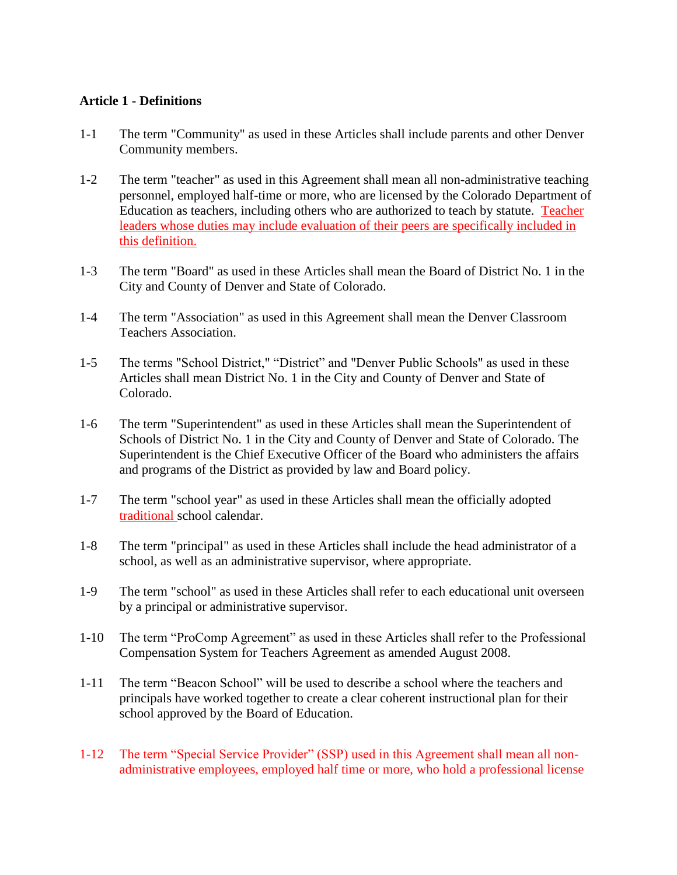## **Article 1 - Definitions**

- 1-1 The term "Community" as used in these Articles shall include parents and other Denver Community members.
- 1-2 The term "teacher" as used in this Agreement shall mean all non-administrative teaching personnel, employed half-time or more, who are licensed by the Colorado Department of Education as teachers, including others who are authorized to teach by statute. Teacher leaders whose duties may include evaluation of their peers are specifically included in this definition.
- 1-3 The term "Board" as used in these Articles shall mean the Board of District No. 1 in the City and County of Denver and State of Colorado.
- 1-4 The term "Association" as used in this Agreement shall mean the Denver Classroom Teachers Association.
- 1-5 The terms "School District," "District" and "Denver Public Schools" as used in these Articles shall mean District No. 1 in the City and County of Denver and State of Colorado.
- 1-6 The term "Superintendent" as used in these Articles shall mean the Superintendent of Schools of District No. 1 in the City and County of Denver and State of Colorado. The Superintendent is the Chief Executive Officer of the Board who administers the affairs and programs of the District as provided by law and Board policy.
- 1-7 The term "school year" as used in these Articles shall mean the officially adopted traditional school calendar.
- 1-8 The term "principal" as used in these Articles shall include the head administrator of a school, as well as an administrative supervisor, where appropriate.
- 1-9 The term "school" as used in these Articles shall refer to each educational unit overseen by a principal or administrative supervisor.
- 1-10 The term "ProComp Agreement" as used in these Articles shall refer to the Professional Compensation System for Teachers Agreement as amended August 2008.
- 1-11 The term "Beacon School" will be used to describe a school where the teachers and principals have worked together to create a clear coherent instructional plan for their school approved by the Board of Education.
- 1-12 The term "Special Service Provider" (SSP) used in this Agreement shall mean all nonadministrative employees, employed half time or more, who hold a professional license